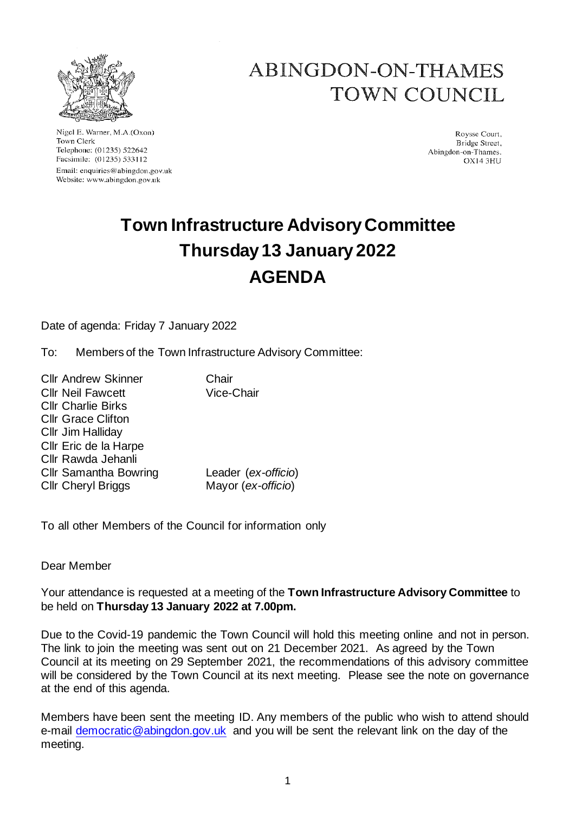

Nigel E. Warner, M.A.(Oxon) Town Clerk Telephone: (01235) 522642 Facsimile: (01235) 533112 Email: enquiries@abingdon.gov.uk Website: www.abingdon.gov.uk

# ABINGDON-ON-THAMES TOWN COUNCIL

Roysse Court. Bridge Street, Abingdon-on-Thames. **OX14 3HH** 

# **Town Infrastructure Advisory Committee Thursday 13 January 2022 AGENDA**

Date of agenda: Friday 7 January 2022

To: Members of the Town Infrastructure Advisory Committee:

Cllr Andrew Skinner Chair Cllr Neil Fawcett Vice-Chair Cllr Charlie Birks Cllr Grace Clifton Cllr Jim Halliday Cllr Eric de la Harpe Cllr Rawda Jehanli Cllr Samantha Bowring Leader (*ex-officio*) Cllr Cheryl Briggs Mayor (*ex-officio*)

To all other Members of the Council for information only

Dear Member

Your attendance is requested at a meeting of the **Town Infrastructure Advisory Committee** to be held on **Thursday 13 January 2022 at 7.00pm.**

Due to the Covid-19 pandemic the Town Council will hold this meeting online and not in person. The link to join the meeting was sent out on 21 December 2021. As agreed by the Town Council at its meeting on 29 September 2021, the recommendations of this advisory committee will be considered by the Town Council at its next meeting. Please see the note on governance at the end of this agenda.

Members have been sent the meeting ID. Any members of the public who wish to attend should e-mail [democratic@abingdon.gov.uk](mailto:democratic@abingdon.gov.uk) and you will be sent the relevant link on the day of the meeting.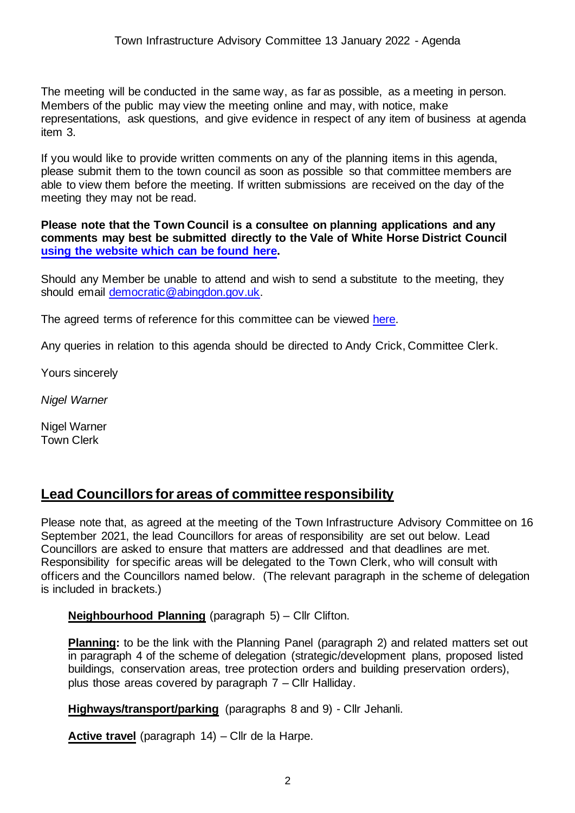The meeting will be conducted in the same way, as far as possible, as a meeting in person. Members of the public may view the meeting online and may, with notice, make representations, ask questions, and give evidence in respect of any item of business at agenda item 3.

If you would like to provide written comments on any of the planning items in this agenda, please submit them to the town council as soon as possible so that committee members are able to view them before the meeting. If written submissions are received on the day of the meeting they may not be read.

**Please note that the Town Council is a consultee on planning applications and any comments may best be submitted directly to the Vale of White Horse District Council [using the website which can be found here.](https://www.whitehorsedc.gov.uk/vale-of-white-horse-district-council/planning-and-development/comment-on-planning-applications/)**

Should any Member be unable to attend and wish to send a substitute to the meeting, they should email [democratic@abingdon.gov.uk.](mailto:democratic@abingdon.gov.uk)

The agreed terms of reference for this committee can be viewed [here.](https://www.abingdon.gov.uk/wp-content/uploads/2021/09/Terms-of-reference-Town-Infrastructure-Committee-2021.pdf)

Any queries in relation to this agenda should be directed to Andy Crick, Committee Clerk.

Yours sincerely

*Nigel Warner*

Nigel Warner Town Clerk

### **Lead Councillors for areas of committee responsibility**

Please note that, as agreed at the meeting of the Town Infrastructure Advisory Committee on 16 September 2021, the lead Councillors for areas of responsibility are set out below. Lead Councillors are asked to ensure that matters are addressed and that deadlines are met. Responsibility for specific areas will be delegated to the Town Clerk, who will consult with officers and the Councillors named below. (The relevant paragraph in the scheme of delegation is included in brackets.)

**Neighbourhood Planning** (paragraph 5) – Cllr Clifton.

**Planning:** to be the link with the Planning Panel (paragraph 2) and related matters set out in paragraph 4 of the scheme of delegation (strategic/development plans, proposed listed buildings, conservation areas, tree protection orders and building preservation orders), plus those areas covered by paragraph 7 – Cllr Halliday.

**Highways/transport/parking** (paragraphs 8 and 9) - Cllr Jehanli.

**Active travel** (paragraph 14) – Cllr de la Harpe.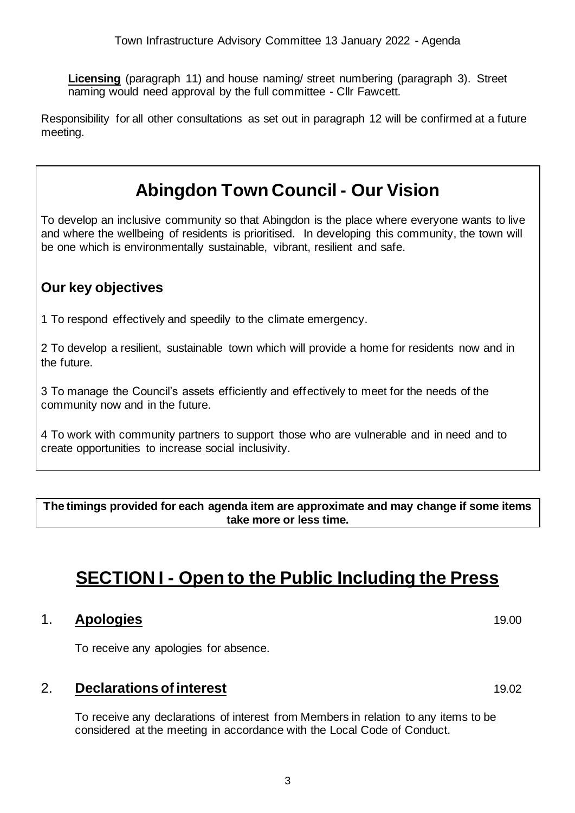**Licensing** (paragraph 11) and house naming/ street numbering (paragraph 3). Street naming would need approval by the full committee - Cllr Fawcett.

Responsibility for all other consultations as set out in paragraph 12 will be confirmed at a future meeting.

# **Abingdon Town Council - Our Vision**

To develop an inclusive community so that Abingdon is the place where everyone wants to live and where the wellbeing of residents is prioritised. In developing this community, the town will be one which is environmentally sustainable, vibrant, resilient and safe.

## **Our key objectives**

1 To respond effectively and speedily to the climate emergency.

2 To develop a resilient, sustainable town which will provide a home for residents now and in the future.

3 To manage the Council's assets efficiently and effectively to meet for the needs of the community now and in the future.

4 To work with community partners to support those who are vulnerable and in need and to create opportunities to increase social inclusivity.

**The timings provided for each agenda item are approximate and may change if some items take more or less time.**

# **SECTION I - Open to the Public Including the Press**

#### 1. **Apologies** 19.00

To receive any apologies for absence.

#### 2. **Declarations of interest** 19.02

To receive any declarations of interest from Members in relation to any items to be considered at the meeting in accordance with the Local Code of Conduct.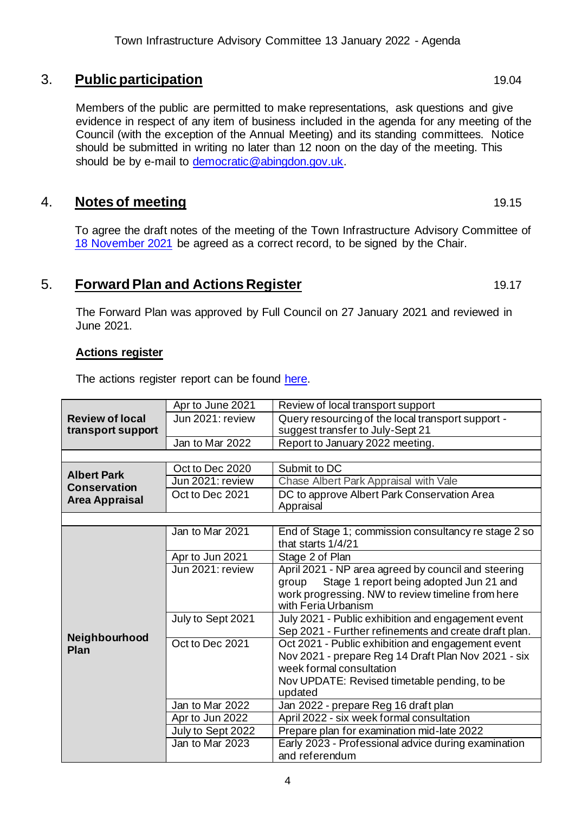#### 3. **Public participation** 19.04

Members of the public are permitted to make representations, ask questions and give evidence in respect of any item of business included in the agenda for any meeting of the Council (with the exception of the Annual Meeting) and its standing committees. Notice should be submitted in writing no later than 12 noon on the day of the meeting. This should be by e-mail to [democratic@abingdon.gov.uk.](mailto:democratic@abingdon.gov.uk)

#### **4.** Notes of meeting 19.15

To agree the draft notes of the meeting of the Town Infrastructure Advisory Committee of [18 November 2021](https://www.abingdon.gov.uk/wp-content/uploads/2021/11/Draft-Notes-18.11.21-Town-Infrastructure-Advisory-Committee.pdf) be agreed as a correct record, to be signed by the Chair.

#### **5. Forward Plan and Actions Register** 19.17

The Forward Plan was approved by Full Council on 27 January 2021 and reviewed in June 2021.

#### **Actions register**

The actions register report can be found [here.](https://www.abingdon.gov.uk/wp-content/uploads/2022/01/Item-5-Actions-Register-13.1.22-Town-Infrastructure-Advisory-Cttee.pdf)

|                                                                    | Apr to June 2021               | Review of local transport support                       |  |
|--------------------------------------------------------------------|--------------------------------|---------------------------------------------------------|--|
| <b>Review of local</b>                                             | Jun 2021: review               | Query resourcing of the local transport support -       |  |
| transport support                                                  |                                | suggest transfer to July-Sept 21                        |  |
|                                                                    | Jan to Mar 2022                | Report to January 2022 meeting.                         |  |
|                                                                    |                                |                                                         |  |
| <b>Albert Park</b><br><b>Conservation</b><br><b>Area Appraisal</b> | Oct to Dec 2020                | Submit to DC                                            |  |
|                                                                    | $\overline{Jun 20}$ 21: review | Chase Albert Park Appraisal with Vale                   |  |
|                                                                    | Oct to Dec 2021                | DC to approve Albert Park Conservation Area             |  |
|                                                                    |                                | Appraisal                                               |  |
|                                                                    | Jan to Mar 2021                | End of Stage 1; commission consultancy re stage 2 so    |  |
| Neighbourhood<br>Plan                                              |                                | that starts 1/4/21                                      |  |
|                                                                    | Apr to Jun 2021                | Stage 2 of Plan                                         |  |
|                                                                    | Jun 2021: review               | April 2021 - NP area agreed by council and steering     |  |
|                                                                    |                                | Stage 1 report being adopted Jun 21 and<br>group        |  |
|                                                                    |                                | work progressing. NW to review timeline from here       |  |
|                                                                    |                                | with Feria Urbanism                                     |  |
|                                                                    | July to Sept 2021              | July 2021 - Public exhibition and engagement event      |  |
|                                                                    |                                | Sep 2021 - Further refinements and create draft plan.   |  |
|                                                                    | Oct to Dec 2021                | Oct 2021 - Public exhibition and engagement event       |  |
|                                                                    |                                | Nov 2021 - prepare Reg 14 Draft Plan Nov 2021 - six     |  |
|                                                                    |                                | week formal consultation                                |  |
|                                                                    |                                | Nov UPDATE: Revised timetable pending, to be<br>updated |  |
|                                                                    | Jan to Mar 2022                | Jan 2022 - prepare Reg 16 draft plan                    |  |
|                                                                    | Apr to Jun 2022                | April 2022 - six week formal consultation               |  |
|                                                                    | July to Sept 2022              | Prepare plan for examination mid-late 2022              |  |
|                                                                    | Jan to Mar 2023                | Early 2023 - Professional advice during examination     |  |
|                                                                    |                                | and referendum                                          |  |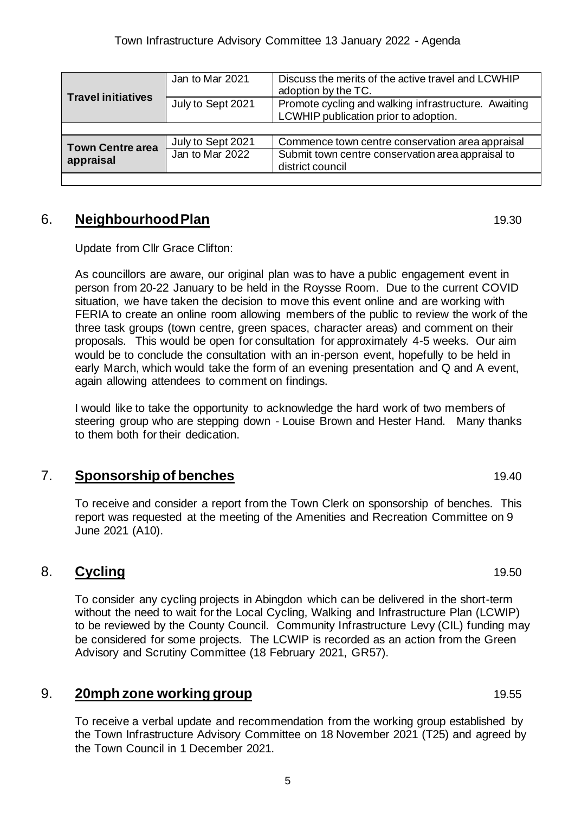| <b>Travel initiatives</b>            | Jan to Mar 2021   | Discuss the merits of the active travel and LCWHIP<br>adoption by the TC.                     |  |
|--------------------------------------|-------------------|-----------------------------------------------------------------------------------------------|--|
|                                      | July to Sept 2021 | Promote cycling and walking infrastructure. Awaiting<br>LCWHIP publication prior to adoption. |  |
|                                      |                   |                                                                                               |  |
| <b>Town Centre area</b><br>appraisal | July to Sept 2021 | Commence town centre conservation area appraisal                                              |  |
|                                      | Jan to Mar 2022   | Submit town centre conservation area appraisal to<br>district council                         |  |
|                                      |                   |                                                                                               |  |

### 6. **Neighbourhood Plan** 19.30

Update from Cllr Grace Clifton:

As councillors are aware, our original plan was to have a public engagement event in person from 20-22 January to be held in the Roysse Room. Due to the current COVID situation, we have taken the decision to move this event online and are working with FERIA to create an online room allowing members of the public to review the work of the three task groups (town centre, green spaces, character areas) and comment on their proposals. This would be open for consultation for approximately 4-5 weeks. Our aim would be to conclude the consultation with an in-person event, hopefully to be held in early March, which would take the form of an evening presentation and Q and A event, again allowing attendees to comment on findings.

I would like to take the opportunity to acknowledge the hard work of two members of steering group who are stepping down - Louise Brown and Hester Hand. Many thanks to them both for their dedication.

### **7. Sponsorship of benches** 19.40

To receive and consider a report from the Town Clerk on sponsorship of benches. This report was requested at the meeting of the Amenities and Recreation Committee on 9 June 2021 (A10).

## 8. **Cycling** 19.50

To consider any cycling projects in Abingdon which can be delivered in the short-term without the need to wait for the Local Cycling, Walking and Infrastructure Plan (LCWIP) to be reviewed by the County Council. Community Infrastructure Levy (CIL) funding may be considered for some projects. The LCWIP is recorded as an action from the Green Advisory and Scrutiny Committee (18 February 2021, GR57).

## **9. 20mph zone working group** 19.55

To receive a verbal update and recommendation from the working group established by the Town Infrastructure Advisory Committee on 18 November 2021 (T25) and agreed by the Town Council in 1 December 2021.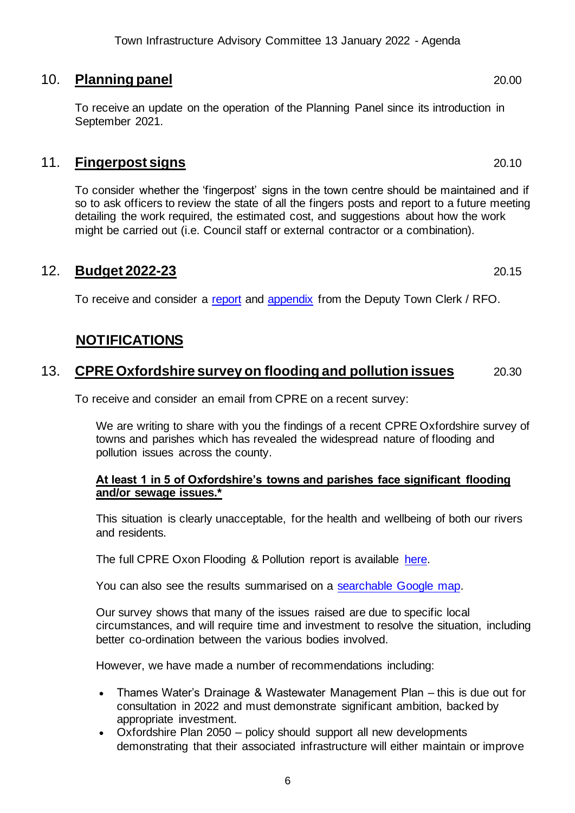### 10. **Planning panel** 20.00

To receive an update on the operation of the Planning Panel since its introduction in September 2021.

#### 11. **Fingerpost signs** 20.10

To consider whether the 'fingerpost' signs in the town centre should be maintained and if so to ask officers to review the state of all the fingers posts and report to a future meeting detailing the work required, the estimated cost, and suggestions about how the work might be carried out (i.e. Council staff or external contractor or a combination).

### 12. **Budget 2022-23** 20.15

To receive and consider a [report](https://www.abingdon.gov.uk/wp-content/uploads/2022/01/Item-12-Budget-report-13.11.22-Town-Infrastructure-Advisory-Cttee.pdf) and [appendix](https://www.abingdon.gov.uk/wp-content/uploads/2022/01/Item-12-Budget-report-APPENDIX-13.11.22-Town-Infrastructure-Advisory-Cttee.pdf) from the Deputy Town Clerk / RFO.

## **NOTIFICATIONS**

### 13. **CPRE Oxfordshire survey on flooding and pollution issues** 20.30

To receive and consider an email from CPRE on a recent survey:

We are writing to share with you the findings of a recent CPRE Oxfordshire survey of towns and parishes which has revealed the widespread nature of flooding and pollution issues across the county.

#### **At least 1 in 5 of Oxfordshire's towns and parishes face significant flooding and/or sewage issues.\***

This situation is clearly unacceptable, for the health and wellbeing of both our rivers and residents.

The full CPRE Oxon Flooding & Pollution report is available [here.](https://www.cpreoxon.org.uk/news/item/2887-1-in-5-of-oxfordshire-s-towns-and-parishes-face-significant-flooding-and-or-sewage-related-problems)

You can also see the results summarised on a [searchable Google map.](https://www.google.com/maps/d/viewer?mid=11nypXRN9JnHf4CH_m15ygezxVGjAtYy0&ll=51.81449050000004%2C-1.4414973999999958&z=10)

Our survey shows that many of the issues raised are due to specific local circumstances, and will require time and investment to resolve the situation, including better co-ordination between the various bodies involved.

However, we have made a number of recommendations including:

- Thames Water's Drainage & Wastewater Management Plan this is due out for consultation in 2022 and must demonstrate significant ambition, backed by appropriate investment.
- Oxfordshire Plan 2050 policy should support all new developments demonstrating that their associated infrastructure will either maintain or improve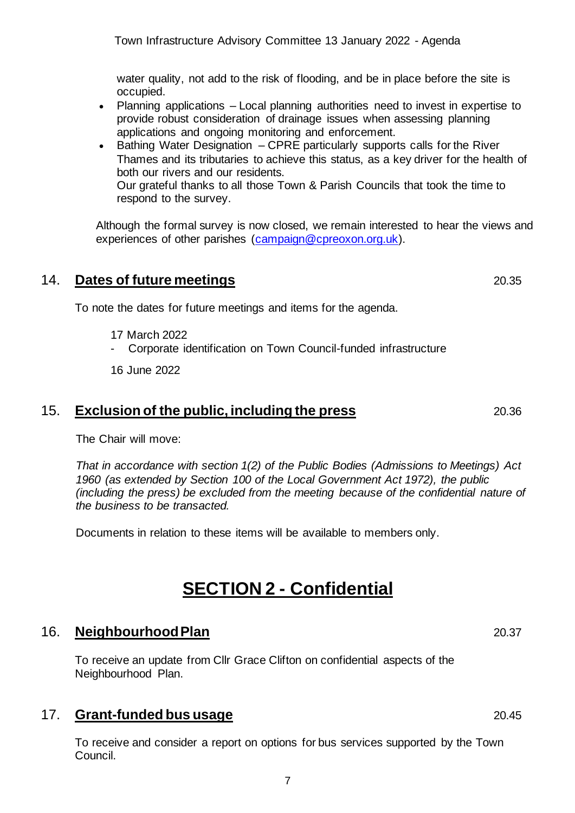7

water quality, not add to the risk of flooding, and be in place before the site is occupied.

- Planning applications Local planning authorities need to invest in expertise to provide robust consideration of drainage issues when assessing planning applications and ongoing monitoring and enforcement.
- Bathing Water Designation CPRE particularly supports calls for the River Thames and its tributaries to achieve this status, as a key driver for the health of both our rivers and our residents. Our grateful thanks to all those Town & Parish Councils that took the time to respond to the survey.

Although the formal survey is now closed, we remain interested to hear the views and experiences of other parishes [\(campaign@cpreoxon.org.uk\).](mailto:campaign@cpreoxon.org.uk)

### 14. **Dates of future meetings** 20.35

To note the dates for future meetings and items for the agenda.

- 17 March 2022
- Corporate identification on Town Council-funded infrastructure

16 June 2022

#### 15. **Exclusion of the public, including the press** 20.36

The Chair will move:

*That in accordance with section 1(2) of the Public Bodies (Admissions to Meetings) Act 1960 (as extended by Section 100 of the Local Government Act 1972), the public (including the press) be excluded from the meeting because of the confidential nature of the business to be transacted.*

Documents in relation to these items will be available to members only.

# **SECTION 2 - Confidential**

# 16. **Neighbourhood Plan** 20.37

To receive an update from Cllr Grace Clifton on confidential aspects of the Neighbourhood Plan.

## 17. **Grant-funded bus usage** 20.45

To receive and consider a report on options for bus services supported by the Town Council.